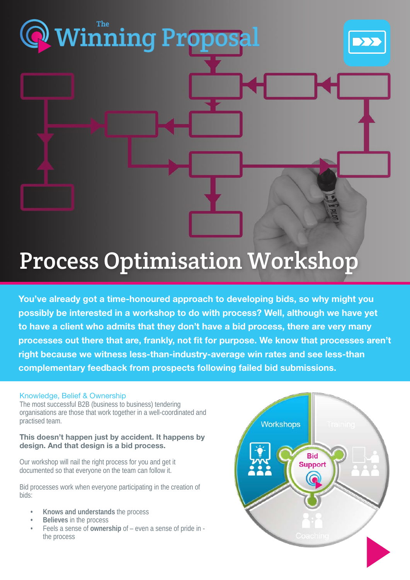## Process Optimisation Workshop

[Winning Proposal](https://www.thewinningproposal.com) The

You've already got a time-honoured approach to developing bids, so why might you possibly be interested in a workshop to do with process? Well, although we have yet to have a client who admits that they don't have a bid process, there are very many processes out there that are, frankly, not fit for purpose. We know that processes aren't right because we witness less-than-industry-average win rates and see less-than complementary feedback from prospects following failed bid submissions.

#### Knowledge, Belief & Ownership

The most successful B2B (business to business) tendering organisations are those that work together in a well-coordinated and practised team.

#### This doesn't happen just by accident. It happens by design. And that design is a bid process.

Our workshop will nail the right process for you and get it documented so that everyone on the team can follow it.

Bid processes work when everyone participating in the creation of bids:

- **• Knows and understands** the process
- **• Believes** in the process
- Feels a sense of **ownership** of even a sense of pride in the process

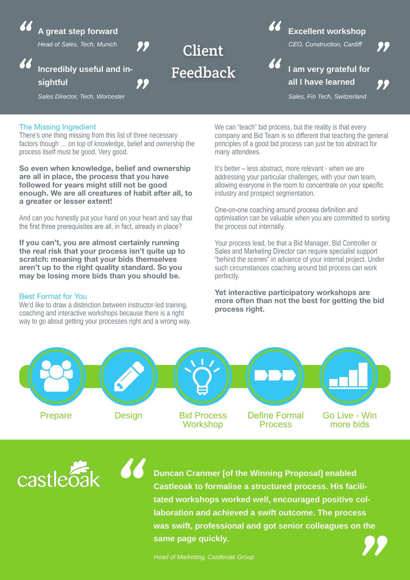**A great step forward**

*Head of Sales, Tech, Munich*

#### **Incredibly useful and insightful** *" "*

*Sales Director, Tech, Worcester*

# <sup>2</sup> Excellent workshop<br>Client Client Client Client Client Client Client Client Client Client Client Client Client Client Client Client Feedback

*"*

### **Excellent workshop**

*CEO, Construction, Cardiff*



**I am very grateful for all I have learned** 

*"*

*Sales, Fin Tech, Switzerland*

#### The Missing Ingredient

*"*

There's one thing missing from this list of three necessary factors though … on top of knowledge, belief and ownership the process itself must be good. Very good.

*"*

So even when knowledge, belief and ownership are all in place, the process that you have followed for years might still not be good enough. We are all creatures of habit after all, to a greater or lesser extent!

And can you honestly put your hand on your heart and say that the first three prerequisites are all, in fact, already in place?

If you can't, you are almost certainly running the real risk that your process isn't quite up to scratch: meaning that your bids themselves aren't up to the right quality standard. So you may be losing more bids than you should be.

#### Best Format for You

We'd like to draw a distinction between instructor-led training, coaching and interactive workshops because there is a right way to go about getting your processes right and a wrong way.

*"*

We can "teach" bid process, but the reality is that every company and Bid Team is so different that teaching the general principles of a good bid process can just be too abstract for many attendees.

It's better – less abstract, more relevant - when we are addressing your particular challenges, with your own team, allowing everyone in the room to concentrate on your specific industry and prospect segmentation.

One-on-one coaching around process definition and optimisation can be valuable when you are committed to sorting the process out internally.

Your process lead, be that a Bid Manager, Bid Controller or Sales and Marketing Director can require specialist support "behind the scenes" in advance of your internal project. Under such circumstances coaching around bid process can work perfectly.

#### Yet interactive participatory workshops are more often than not the best for getting the bid process right.



castlec

**Duncan Cranmer [of the Winning Proposal] enabled Castleoak to formalise a structured process. His facilitated workshops worked well, encouraged positive collaboration and achieved a swift outcome. The process was swift, professional and got senior colleagues on the same page quickly. Example 12 and Screen Set Ally Convertised Well, encouraged positive collaboration and achieved a swift outcome. The process was swift, professional and got senior colleagues on the same page quickly.<br>Head of Marketing, C**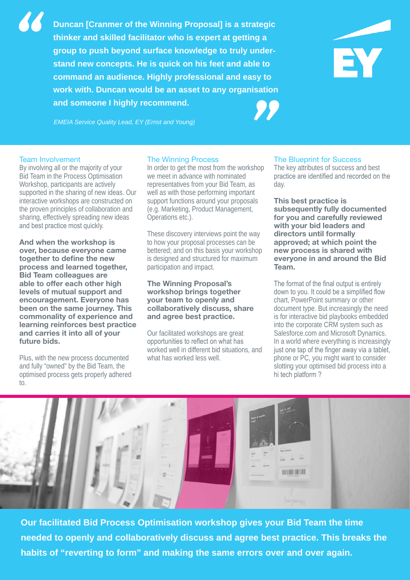*Strategy and Marketing Director* **command an audience. Highly professional and easy to Duncan [Cranmer of the Winning Proposal] is a strategic thinker and skilled facilitator who is expert at getting a group to push beyond surface knowledge to truly understand new concepts. He is quick on his feet and able to work with. Duncan would be an asset to any organisation and someone I highly recommend. EXAMP THE INDENT SERVICE SERVIE SERVIE SERVIE SERVIE SERVIE SURVIER SERVIE A SERVICE A Service Quality Lead, EY (Ernst and Young)<br>
<b>EMEIA Service Quality Lead, EY (Ernst and Young)**<br> **EMEIA Service Quality Lead, EY (Ernst** 



#### Team Involvement

*"*

By involving all or the majority of your Bid Team in the Process Optimisation Workshop, participants are actively supported in the sharing of new ideas. Our interactive workshops are constructed on the proven principles of collaboration and sharing, effectively spreading new ideas and best practice most quickly.

And when the workshop is over, because everyone came together to define the new process and learned together, Bid Team colleagues are able to offer each other high levels of mutual support and encouragement. Everyone has been on the same journey. This commonality of experience and learning reinforces best practice and carries it into all of your future bids.

Plus, with the new process documented and fully "owned" by the Bid Team, the optimised process gets properly adhered to.

#### The Winning Process

In order to get the most from the workshop we meet in advance with nominated representatives from your Bid Team, as well as with those performing important support functions around your proposals (e.g. Marketing, Product Management, Operations etc.).

These discovery interviews point the way to how your proposal processes can be bettered; and on this basis your workshop is designed and structured for maximum participation and impact.

#### The Winning Proposal's workshop brings together your team to openly and collaboratively discuss, share and agree best practice.

Our facilitated workshops are great opportunities to reflect on what has worked well in different bid situations, and what has worked less well.

#### The Blueprint for Success

The key attributes of success and best practice are identified and recorded on the day.

This best practice is subsequently fully documented for you and carefully reviewed with your bid leaders and directors until formally approved; at which point the new process is shared with everyone in and around the Bid Team.

The format of the final output is entirely down to you. It could be a simplified flow chart, PowerPoint summary or other document type. But increasingly the need is for interactive bid playbooks embedded into the corporate CRM system such as Salesforce.com and Microsoft Dynamics. In a world where everything is increasingly just one tap of the finger away via a tablet, phone or PC, you might want to consider slotting your optimised bid process into a hi tech platform ?



**Our facilitated Bid Process Optimisation workshop gives your Bid Team the time needed to openly and collaboratively discuss and agree best practice. This breaks the habits of "reverting to form" and making the same errors over and over again.**